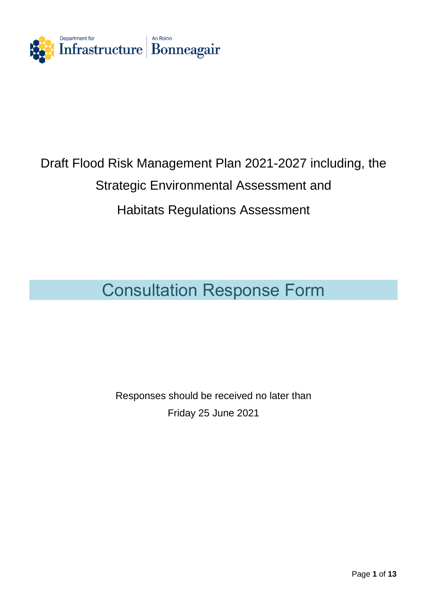

# Draft Flood Risk Management Plan 2021-2027 including, the Strategic Environmental Assessment and Habitats Regulations Assessment

## Consultation Response Form

Responses should be received no later than Friday 25 June 2021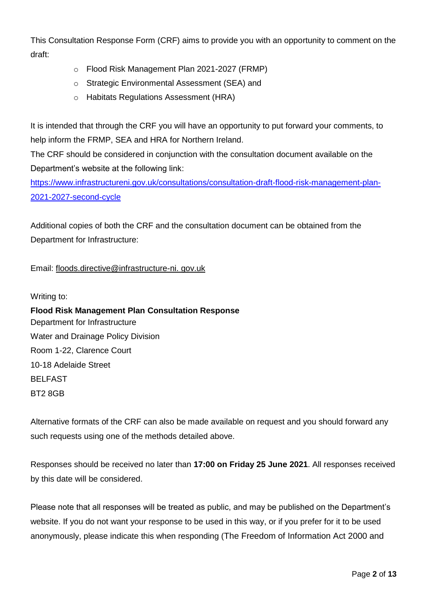This Consultation Response Form (CRF) aims to provide you with an opportunity to comment on the draft:

- o Flood Risk Management Plan 2021-2027 (FRMP)
- o Strategic Environmental Assessment (SEA) and
- o Habitats Regulations Assessment (HRA)

It is intended that through the CRF you will have an opportunity to put forward your comments, to help inform the FRMP, SEA and HRA for Northern Ireland.

The CRF should be considered in conjunction with the consultation document available on the Department's website at the following link:

[https://www.infrastructureni.gov.uk/consultations/consultation-draft-flood-risk-management-plan-](https://www.infrastructureni.gov.uk/consultations/consultation-draft-flood-risk-management-plan-2021-2027-second-cycle)[2021-2027-second-cycle](https://www.infrastructureni.gov.uk/consultations/consultation-draft-flood-risk-management-plan-2021-2027-second-cycle)

Additional copies of both the CRF and the consultation document can be obtained from the Department for Infrastructure:

Email: floods.directive@infrastructure-ni. gov.uk

Writing to:

**Flood Risk Management Plan Consultation Response** Department for Infrastructure Water and Drainage Policy Division Room 1-22, Clarence Court 10-18 Adelaide Street BELFAST BT2 8GB

Alternative formats of the CRF can also be made available on request and you should forward any such requests using one of the methods detailed above.

Responses should be received no later than **17:00 on Friday 25 June 2021**. All responses received by this date will be considered.

Please note that all responses will be treated as public, and may be published on the Department's website. If you do not want your response to be used in this way, or if you prefer for it to be used anonymously, please indicate this when responding (The Freedom of Information Act 2000 and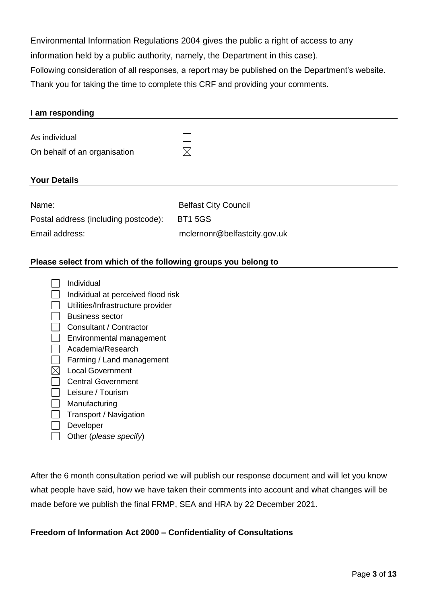Environmental Information Regulations 2004 gives the public a right of access to any information held by a public authority, namely, the Department in this case). Following consideration of all responses, a report may be published on the Department's website. Thank you for taking the time to complete this CRF and providing your comments.

| I am responding                      |                              |
|--------------------------------------|------------------------------|
|                                      |                              |
| As individual                        |                              |
| On behalf of an organisation         | $\boxtimes$                  |
|                                      |                              |
| <b>Your Details</b>                  |                              |
|                                      |                              |
| Name:                                | <b>Belfast City Council</b>  |
| Postal address (including postcode): | <b>BT15GS</b>                |
| Email address:                       | mclernonr@belfastcity.gov.uk |
|                                      |                              |

#### **Please select from which of the following groups you belong to**

| Individual                         |
|------------------------------------|
| Individual at perceived flood risk |
| Utilities/Infrastructure provider  |
| Business sector                    |
| Consultant / Contractor            |
| Environmental management           |
| Academia/Research                  |
| Farming / Land management          |
| Local Government                   |
| <b>Central Government</b>          |
| Leisure / Tourism                  |
| Manufacturing                      |
| Transport / Navigation             |
| Developer                          |
| Other (please specify)             |

After the 6 month consultation period we will publish our response document and will let you know what people have said, how we have taken their comments into account and what changes will be made before we publish the final FRMP, SEA and HRA by 22 December 2021.

#### **Freedom of Information Act 2000 – Confidentiality of Consultations**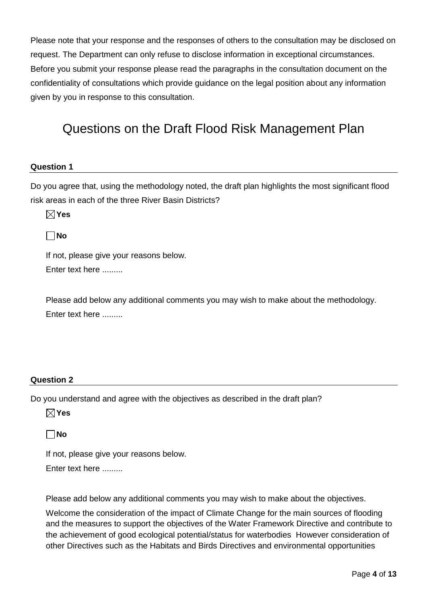Please note that your response and the responses of others to the consultation may be disclosed on request. The Department can only refuse to disclose information in exceptional circumstances. Before you submit your response please read the paragraphs in the consultation document on the confidentiality of consultations which provide guidance on the legal position about any information given by you in response to this consultation.

## Questions on the Draft Flood Risk Management Plan

#### **Question 1**

Do you agree that, using the methodology noted, the draft plan highlights the most significant flood risk areas in each of the three River Basin Districts?

**Yes** 

**No**

If not, please give your reasons below.

Enter text here .........

Please add below any additional comments you may wish to make about the methodology. Enter text here .........

#### **Question 2**

Do you understand and agree with the objectives as described in the draft plan?

**Yes** 

**No**

If not, please give your reasons below.

Enter text here .........

Please add below any additional comments you may wish to make about the objectives.

Welcome the consideration of the impact of Climate Change for the main sources of flooding and the measures to support the objectives of the Water Framework Directive and contribute to the achievement of good ecological potential/status for waterbodies However consideration of other Directives such as the Habitats and Birds Directives and environmental opportunities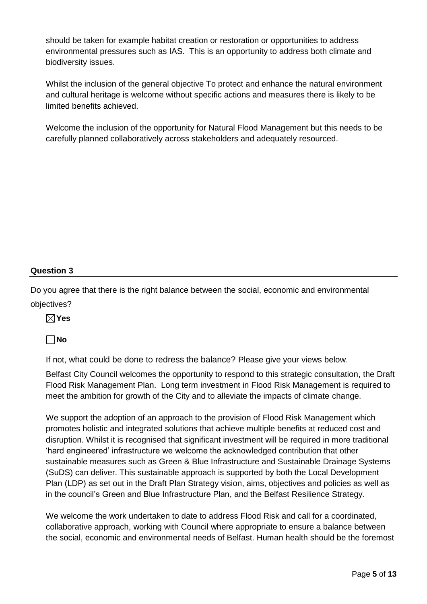should be taken for example habitat creation or restoration or opportunities to address environmental pressures such as IAS. This is an opportunity to address both climate and biodiversity issues.

Whilst the inclusion of the general objective To protect and enhance the natural environment and cultural heritage is welcome without specific actions and measures there is likely to be limited benefits achieved.

Welcome the inclusion of the opportunity for Natural Flood Management but this needs to be carefully planned collaboratively across stakeholders and adequately resourced.

#### **Question 3**

Do you agree that there is the right balance between the social, economic and environmental objectives?

**Yes** 

**No**

If not, what could be done to redress the balance? Please give your views below.

Belfast City Council welcomes the opportunity to respond to this strategic consultation, the Draft Flood Risk Management Plan. Long term investment in Flood Risk Management is required to meet the ambition for growth of the City and to alleviate the impacts of climate change.

We support the adoption of an approach to the provision of Flood Risk Management which promotes holistic and integrated solutions that achieve multiple benefits at reduced cost and disruption. Whilst it is recognised that significant investment will be required in more traditional 'hard engineered' infrastructure we welcome the acknowledged contribution that other sustainable measures such as Green & Blue Infrastructure and Sustainable Drainage Systems (SuDS) can deliver. This sustainable approach is supported by both the Local Development Plan (LDP) as set out in the Draft Plan Strategy vision, aims, objectives and policies as well as in the council's Green and Blue Infrastructure Plan, and the Belfast Resilience Strategy.

We welcome the work undertaken to date to address Flood Risk and call for a coordinated, collaborative approach, working with Council where appropriate to ensure a balance between the social, economic and environmental needs of Belfast. Human health should be the foremost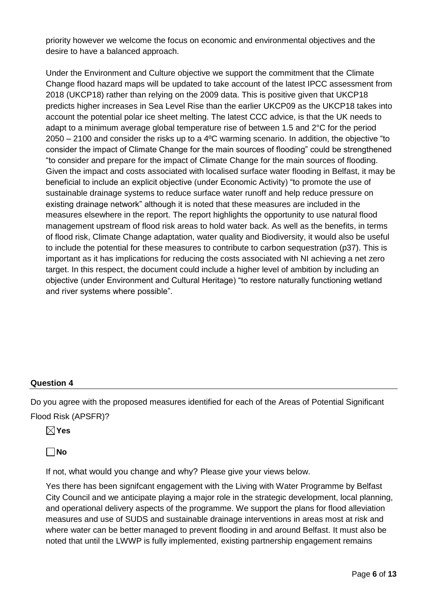priority however we welcome the focus on economic and environmental objectives and the desire to have a balanced approach.

Under the Environment and Culture objective we support the commitment that the Climate Change flood hazard maps will be updated to take account of the latest IPCC assessment from 2018 (UKCP18) rather than relying on the 2009 data. This is positive given that UKCP18 predicts higher increases in Sea Level Rise than the earlier UKCP09 as the UKCP18 takes into account the potential polar ice sheet melting. The latest CCC advice, is that the UK needs to adapt to a minimum average global temperature rise of between 1.5 and 2°C for the period  $2050 - 2100$  and consider the risks up to a 4<sup>o</sup>C warming scenario. In addition, the objective "to consider the impact of Climate Change for the main sources of flooding" could be strengthened "to consider and prepare for the impact of Climate Change for the main sources of flooding. Given the impact and costs associated with localised surface water flooding in Belfast, it may be beneficial to include an explicit objective (under Economic Activity) "to promote the use of sustainable drainage systems to reduce surface water runoff and help reduce pressure on existing drainage network" although it is noted that these measures are included in the measures elsewhere in the report. The report highlights the opportunity to use natural flood management upstream of flood risk areas to hold water back. As well as the benefits, in terms of flood risk, Climate Change adaptation, water quality and Biodiversity, it would also be useful to include the potential for these measures to contribute to carbon sequestration (p37). This is important as it has implications for reducing the costs associated with NI achieving a net zero target. In this respect, the document could include a higher level of ambition by including an objective (under Environment and Cultural Heritage) "to restore naturally functioning wetland and river systems where possible".

#### **Question 4**

Do you agree with the proposed measures identified for each of the Areas of Potential Significant Flood Risk (APSFR)?

**Yes** 

**No**

If not, what would you change and why? Please give your views below.

Yes there has been signifcant engagement with the Living with Water Programme by Belfast City Council and we anticipate playing a major role in the strategic development, local planning, and operational delivery aspects of the programme. We support the plans for flood alleviation measures and use of SUDS and sustainable drainage interventions in areas most at risk and where water can be better managed to prevent flooding in and around Belfast. It must also be noted that until the LWWP is fully implemented, existing partnership engagement remains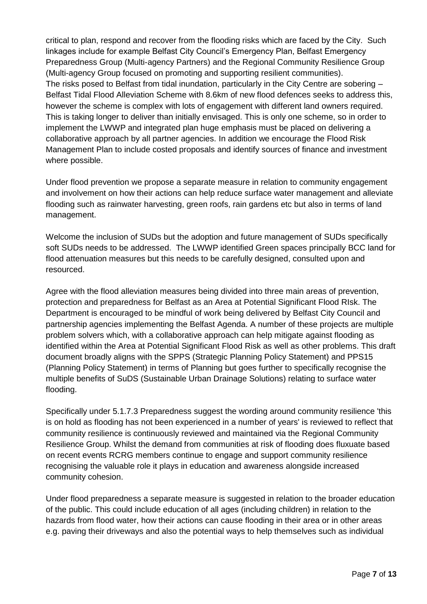critical to plan, respond and recover from the flooding risks which are faced by the City. Such linkages include for example Belfast City Council's Emergency Plan, Belfast Emergency Preparedness Group (Multi-agency Partners) and the Regional Community Resilience Group (Multi-agency Group focused on promoting and supporting resilient communities). The risks posed to Belfast from tidal inundation, particularly in the City Centre are sobering – Belfast Tidal Flood Alleviation Scheme with 8.6km of new flood defences seeks to address this, however the scheme is complex with lots of engagement with different land owners required. This is taking longer to deliver than initially envisaged. This is only one scheme, so in order to implement the LWWP and integrated plan huge emphasis must be placed on delivering a collaborative approach by all partner agencies. In addition we encourage the Flood Risk Management Plan to include costed proposals and identify sources of finance and investment where possible.

Under flood prevention we propose a separate measure in relation to community engagement and involvement on how their actions can help reduce surface water management and alleviate flooding such as rainwater harvesting, green roofs, rain gardens etc but also in terms of land management.

Welcome the inclusion of SUDs but the adoption and future management of SUDs specifically soft SUDs needs to be addressed. The LWWP identified Green spaces principally BCC land for flood attenuation measures but this needs to be carefully designed, consulted upon and resourced.

Agree with the flood alleviation measures being divided into three main areas of prevention, protection and preparedness for Belfast as an Area at Potential Significant Flood RIsk. The Department is encouraged to be mindful of work being delivered by Belfast City Council and partnership agencies implementing the Belfast Agenda. A number of these projects are multiple problem solvers which, with a collaborative approach can help mitigate against flooding as identified within the Area at Potential Significant Flood Risk as well as other problems. This draft document broadly aligns with the SPPS (Strategic Planning Policy Statement) and PPS15 (Planning Policy Statement) in terms of Planning but goes further to specifically recognise the multiple benefits of SuDS (Sustainable Urban Drainage Solutions) relating to surface water flooding.

Specifically under 5.1.7.3 Preparedness suggest the wording around community resilience 'this is on hold as flooding has not been experienced in a number of years' is reviewed to reflect that community resilience is continuously reviewed and maintained via the Regional Community Resilience Group. Whilst the demand from communities at risk of flooding does fluxuate based on recent events RCRG members continue to engage and support community resilience recognising the valuable role it plays in education and awareness alongside increased community cohesion.

Under flood preparedness a separate measure is suggested in relation to the broader education of the public. This could include education of all ages (including children) in relation to the hazards from flood water, how their actions can cause flooding in their area or in other areas e.g. paving their driveways and also the potential ways to help themselves such as individual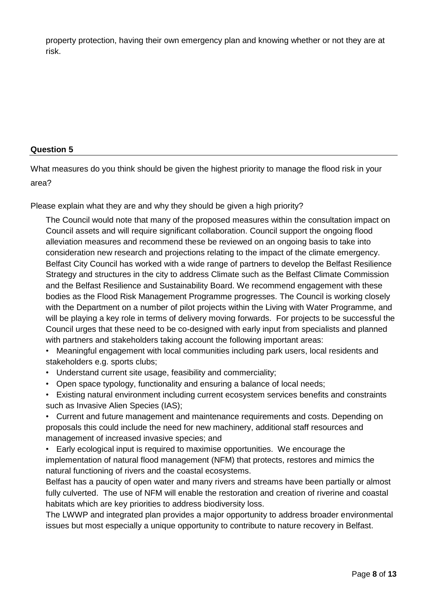property protection, having their own emergency plan and knowing whether or not they are at risk.

#### **Question 5**

What measures do you think should be given the highest priority to manage the flood risk in your area?

Please explain what they are and why they should be given a high priority?

The Council would note that many of the proposed measures within the consultation impact on Council assets and will require significant collaboration. Council support the ongoing flood alleviation measures and recommend these be reviewed on an ongoing basis to take into consideration new research and projections relating to the impact of the climate emergency. Belfast City Council has worked with a wide range of partners to develop the Belfast Resilience Strategy and structures in the city to address Climate such as the Belfast Climate Commission and the Belfast Resilience and Sustainability Board. We recommend engagement with these bodies as the Flood Risk Management Programme progresses. The Council is working closely with the Department on a number of pilot projects within the Living with Water Programme, and will be playing a key role in terms of delivery moving forwards. For projects to be successful the Council urges that these need to be co-designed with early input from specialists and planned with partners and stakeholders taking account the following important areas:

• Meaningful engagement with local communities including park users, local residents and stakeholders e.g. sports clubs;

- Understand current site usage, feasibility and commerciality;
- Open space typology, functionality and ensuring a balance of local needs;

• Existing natural environment including current ecosystem services benefits and constraints such as Invasive Alien Species (IAS);

• Current and future management and maintenance requirements and costs. Depending on proposals this could include the need for new machinery, additional staff resources and management of increased invasive species; and

• Early ecological input is required to maximise opportunities. We encourage the implementation of natural flood management (NFM) that protects, restores and mimics the natural functioning of rivers and the coastal ecosystems.

Belfast has a paucity of open water and many rivers and streams have been partially or almost fully culverted. The use of NFM will enable the restoration and creation of riverine and coastal habitats which are key priorities to address biodiversity loss.

The LWWP and integrated plan provides a major opportunity to address broader environmental issues but most especially a unique opportunity to contribute to nature recovery in Belfast.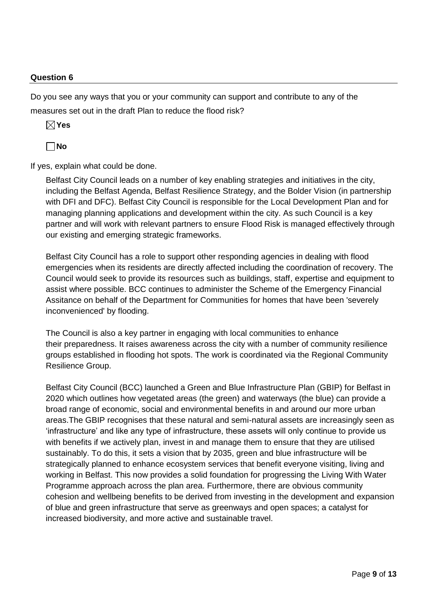#### **Question 6**

Do you see any ways that you or your community can support and contribute to any of the measures set out in the draft Plan to reduce the flood risk?

**Yes** 

**No**

If yes, explain what could be done.

Belfast City Council leads on a number of key enabling strategies and initiatives in the city, including the Belfast Agenda, Belfast Resilience Strategy, and the Bolder Vision (in partnership with DFI and DFC). Belfast City Council is responsible for the Local Development Plan and for managing planning applications and development within the city. As such Council is a key partner and will work with relevant partners to ensure Flood Risk is managed effectively through our existing and emerging strategic frameworks.

Belfast City Council has a role to support other responding agencies in dealing with flood emergencies when its residents are directly affected including the coordination of recovery. The Council would seek to provide its resources such as buildings, staff, expertise and equipment to assist where possible. BCC continues to administer the Scheme of the Emergency Financial Assitance on behalf of the Department for Communities for homes that have been 'severely inconvenienced' by flooding.

The Council is also a key partner in engaging with local communities to enhance their preparedness. It raises awareness across the city with a number of community resilience groups established in flooding hot spots. The work is coordinated via the Regional Community Resilience Group.

Belfast City Council (BCC) launched a Green and Blue Infrastructure Plan (GBIP) for Belfast in 2020 which outlines how vegetated areas (the green) and waterways (the blue) can provide a broad range of economic, social and environmental benefits in and around our more urban areas.The GBIP recognises that these natural and semi-natural assets are increasingly seen as 'infrastructure' and like any type of infrastructure, these assets will only continue to provide us with benefits if we actively plan, invest in and manage them to ensure that they are utilised sustainably. To do this, it sets a vision that by 2035, green and blue infrastructure will be strategically planned to enhance ecosystem services that benefit everyone visiting, living and working in Belfast. This now provides a solid foundation for progressing the Living With Water Programme approach across the plan area. Furthermore, there are obvious community cohesion and wellbeing benefits to be derived from investing in the development and expansion of blue and green infrastructure that serve as greenways and open spaces; a catalyst for increased biodiversity, and more active and sustainable travel.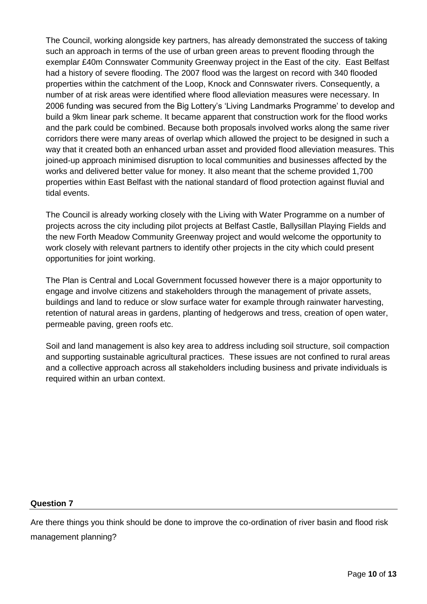The Council, working alongside key partners, has already demonstrated the success of taking such an approach in terms of the use of urban green areas to prevent flooding through the exemplar £40m Connswater Community Greenway project in the East of the city. East Belfast had a history of severe flooding. The 2007 flood was the largest on record with 340 flooded properties within the catchment of the Loop, Knock and Connswater rivers. Consequently, a number of at risk areas were identified where flood alleviation measures were necessary. In 2006 funding was secured from the Big Lottery's 'Living Landmarks Programme' to develop and build a 9km linear park scheme. It became apparent that construction work for the flood works and the park could be combined. Because both proposals involved works along the same river corridors there were many areas of overlap which allowed the project to be designed in such a way that it created both an enhanced urban asset and provided flood alleviation measures. This joined-up approach minimised disruption to local communities and businesses affected by the works and delivered better value for money. It also meant that the scheme provided 1,700 properties within East Belfast with the national standard of flood protection against fluvial and tidal events.

The Council is already working closely with the Living with Water Programme on a number of projects across the city including pilot projects at Belfast Castle, Ballysillan Playing Fields and the new Forth Meadow Community Greenway project and would welcome the opportunity to work closely with relevant partners to identify other projects in the city which could present opportunities for joint working.

The Plan is Central and Local Government focussed however there is a major opportunity to engage and involve citizens and stakeholders through the management of private assets, buildings and land to reduce or slow surface water for example through rainwater harvesting, retention of natural areas in gardens, planting of hedgerows and tress, creation of open water, permeable paving, green roofs etc.

Soil and land management is also key area to address including soil structure, soil compaction and supporting sustainable agricultural practices. These issues are not confined to rural areas and a collective approach across all stakeholders including business and private individuals is required within an urban context.

#### **Question 7**

Are there things you think should be done to improve the co-ordination of river basin and flood risk management planning?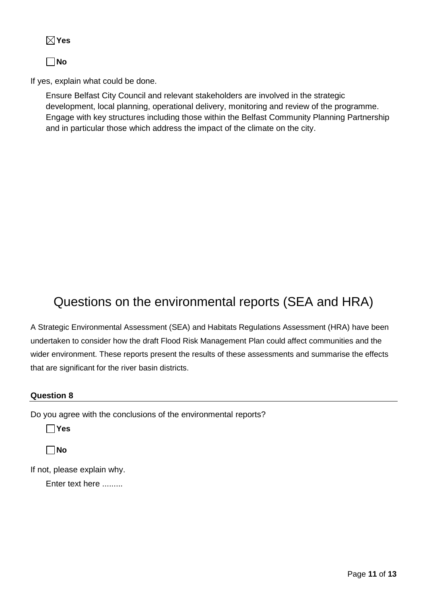**No**

If yes, explain what could be done.

Ensure Belfast City Council and relevant stakeholders are involved in the strategic development, local planning, operational delivery, monitoring and review of the programme. Engage with key structures including those within the Belfast Community Planning Partnership and in particular those which address the impact of the climate on the city.

## Questions on the environmental reports (SEA and HRA)

A Strategic Environmental Assessment (SEA) and Habitats Regulations Assessment (HRA) have been undertaken to consider how the draft Flood Risk Management Plan could affect communities and the wider environment. These reports present the results of these assessments and summarise the effects that are significant for the river basin districts.

#### **Question 8**

Do you agree with the conclusions of the environmental reports?

**Yes** 

**No**

If not, please explain why.

Enter text here .........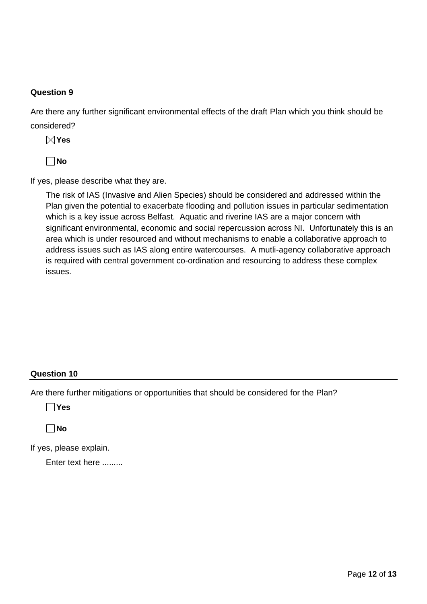#### **Question 9**

Are there any further significant environmental effects of the draft Plan which you think should be considered?

**Yes** 

**No**

If yes, please describe what they are.

The risk of IAS (Invasive and Alien Species) should be considered and addressed within the Plan given the potential to exacerbate flooding and pollution issues in particular sedimentation which is a key issue across Belfast. Aquatic and riverine IAS are a major concern with significant environmental, economic and social repercussion across NI. Unfortunately this is an area which is under resourced and without mechanisms to enable a collaborative approach to address issues such as IAS along entire watercourses. A mutli-agency collaborative approach is required with central government co-ordination and resourcing to address these complex issues.

#### **Question 10**

Are there further mitigations or opportunities that should be considered for the Plan?

**Yes** 

**No**

If yes, please explain.

Enter text here .........